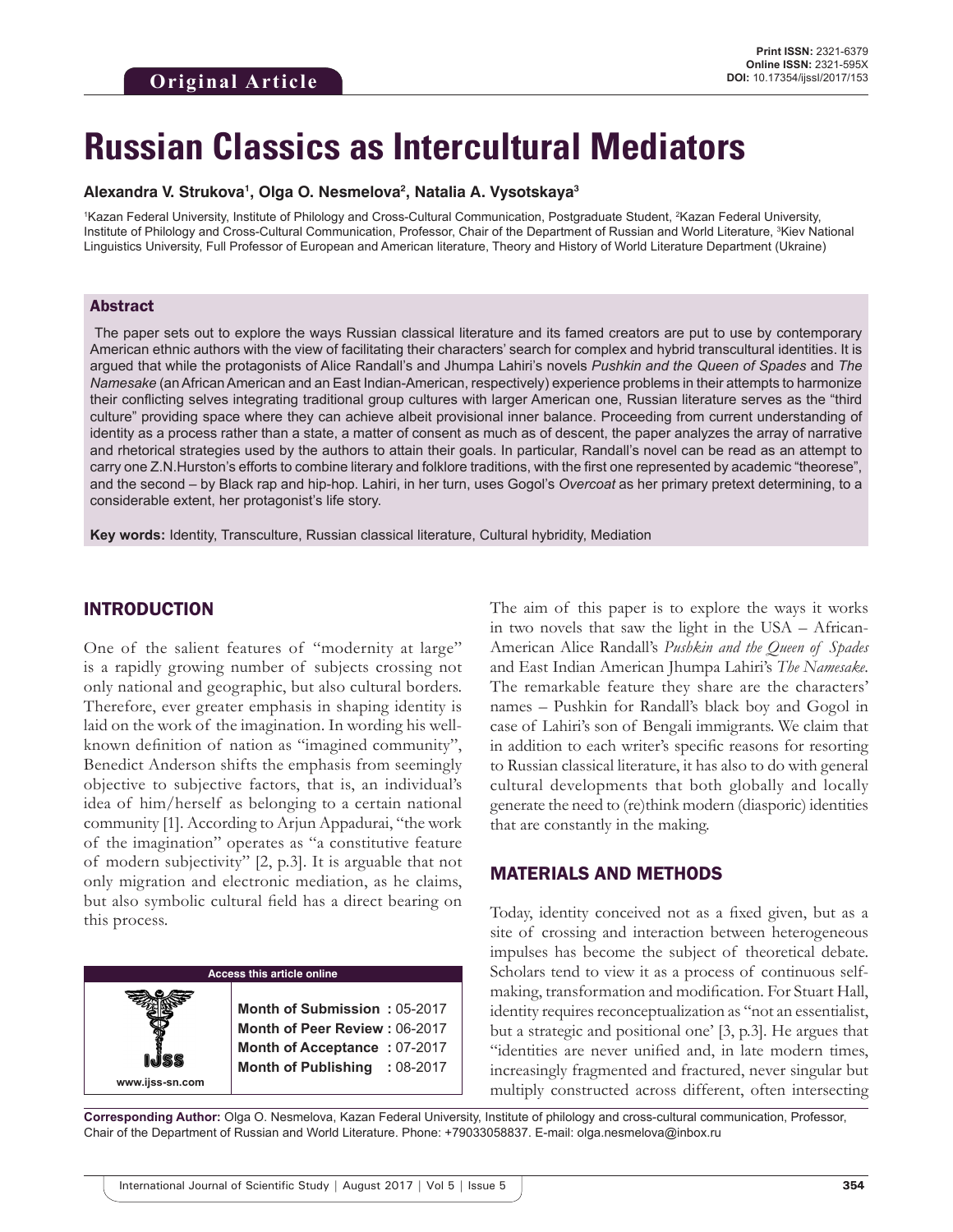# **Russian Classics as Intercultural Mediators**

#### **Alexandra V. Strukova1 , Olga O. Nesmelova2 , Natalia A. Vysotskaya3**

<sup>1</sup>Kazan Federal University, Institute of Philology and Cross-Cultural Communication, Postgraduate Student, <sup>2</sup>Kazan Federal University, Institute of Philology and Cross-Cultural Communication, Professor, Chair of the Department of Russian and World Literature, <sup>3</sup>Kiev National Linguistics University, Full Professor of European and American literature, Theory and History of World Literature Department (Ukraine)

#### Abstract

 The paper sets out to explore the ways Russian classical literature and its famed creators are put to use by contemporary American ethnic authors with the view of facilitating their characters' search for complex and hybrid transcultural identities. It is argued that while the protagonists of Alice Randall's and Jhumpa Lahiri's novels *Pushkin and the Queen of Spades* and *The Namesake* (an African American and an East Indian-American, respectively) experience problems in their attempts to harmonize their conflicting selves integrating traditional group cultures with larger American one, Russian literature serves as the "third culture" providing space where they can achieve albeit provisional inner balance. Proceeding from current understanding of identity as a process rather than a state, a matter of consent as much as of descent, the paper analyzes the array of narrative and rhetorical strategies used by the authors to attain their goals. In particular, Randall's novel can be read as an attempt to carry one Z.N.Hurston's efforts to combine literary and folklore traditions, with the first one represented by academic "theorese", and the second – by Black rap and hip-hop. Lahiri, in her turn, uses Gogol's *Overcoat* as her primary pretext determining, to a considerable extent, her protagonist's life story.

**Key words:** Identity, Transculture, Russian classical literature, Cultural hybridity, Mediation

## INTRODUCTION

One of the salient features of "modernity at large" is a rapidly growing number of subjects crossing not only national and geographic, but also cultural borders. Therefore, ever greater emphasis in shaping identity is laid on the work of the imagination. In wording his wellknown definition of nation as "imagined community", Benedict Anderson shifts the emphasis from seemingly objective to subjective factors, that is, an individual's idea of him/herself as belonging to a certain national community [1]. According to Arjun Appadurai, "the work of the imagination" operates as "a constitutive feature of modern subjectivity" [2, p.3]. It is arguable that not only migration and electronic mediation, as he claims, but also symbolic cultural field has a direct bearing on this process.

**Access this article online www.ijss-sn.com Month of Submission :** 05-2017 **Month of Peer Review :** 06-2017 **Month of Acceptance :** 07-2017 **Month of Publishing :** 08-2017 The aim of this paper is to explore the ways it works in two novels that saw the light in the USA – African-American Alice Randall's *Pushkin and the Queen of Spades* and East Indian American Jhumpa Lahiri's *The Namesake*. The remarkable feature they share are the characters' names – Pushkin for Randall's black boy and Gogol in case of Lahiri's son of Bengali immigrants. We claim that in addition to each writer's specific reasons for resorting to Russian classical literature, it has also to do with general cultural developments that both globally and locally generate the need to (re)think modern (diasporic) identities that are constantly in the making.

### MATERIALS AND METHODS

Today, identity conceived not as a fixed given, but as a site of crossing and interaction between heterogeneous impulses has become the subject of theoretical debate. Scholars tend to view it as a process of continuous selfmaking, transformation and modification. For Stuart Hall, identity requires reconceptualization as "not an essentialist, but a strategic and positional one' [3, p.3]. He argues that "identities are never unified and, in late modern times, increasingly fragmented and fractured, never singular but multiply constructed across different, often intersecting

**Corresponding Author:** Olga O. Nesmelova, Kazan Federal University, Institute of philology and cross-cultural communication, Professor, Chair of the Department of Russian and World Literature. Phone: +79033058837. E-mail: olga.nesmelova@inbox.ru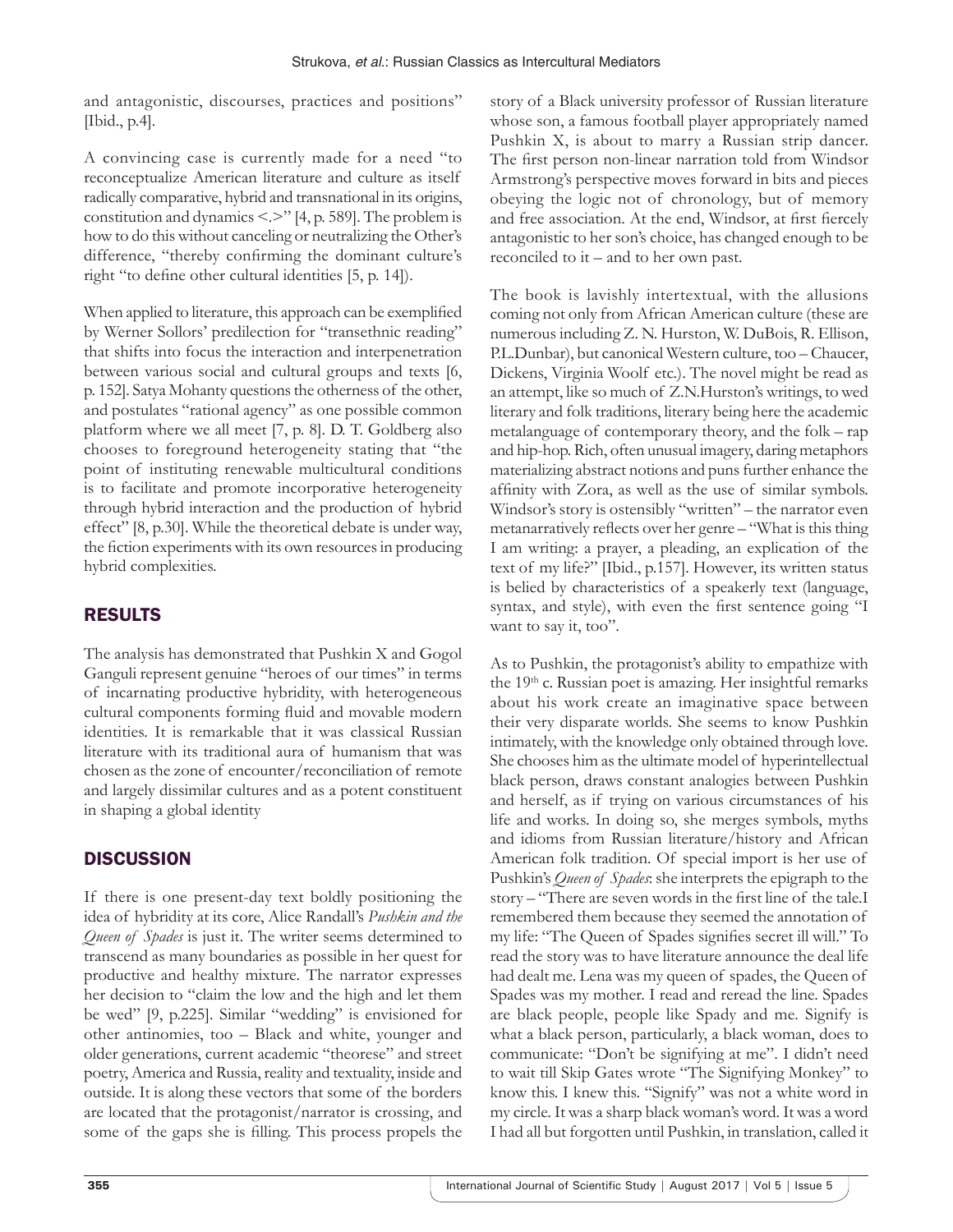and antagonistic, discourses, practices and positions" [Ibid., p.4].

A convincing case is currently made for a need "to reconceptualize American literature and culture as itself radically comparative, hybrid and transnational in its origins, constitution and dynamics <.>" [4, p. 589]. The problem is how to do this without canceling or neutralizing the Other's difference, "thereby confirming the dominant culture's right "to define other cultural identities [5, p. 14]).

When applied to literature, this approach can be exemplified by Werner Sollors' predilection for "transethnic reading" that shifts into focus the interaction and interpenetration between various social and cultural groups and texts [6, p. 152]. Satya Mohanty questions the otherness of the other, and postulates "rational agency" as one possible common platform where we all meet [7, p. 8]. D. T. Goldberg also chooses to foreground heterogeneity stating that "the point of instituting renewable multicultural conditions is to facilitate and promote incorporative heterogeneity through hybrid interaction and the production of hybrid effect" [8, p.30]. While the theoretical debate is under way, the fiction experiments with its own resources in producing hybrid complexities.

# RESULTS

The analysis has demonstrated that Pushkin X and Gogol Ganguli represent genuine "heroes of our times" in terms of incarnating productive hybridity, with heterogeneous cultural components forming fluid and movable modern identities. It is remarkable that it was classical Russian literature with its traditional aura of humanism that was chosen as the zone of encounter/reconciliation of remote and largely dissimilar cultures and as a potent constituent in shaping a global identity

# **DISCUSSION**

If there is one present-day text boldly positioning the idea of hybridity at its core, Alice Randall's *Pushkin and the Queen of Spades* is just it. The writer seems determined to transcend as many boundaries as possible in her quest for productive and healthy mixture. The narrator expresses her decision to "claim the low and the high and let them be wed" [9, p.225]. Similar "wedding" is envisioned for other antinomies, too – Black and white, younger and older generations, current academic "theorese" and street poetry, America and Russia, reality and textuality, inside and outside. It is along these vectors that some of the borders are located that the protagonist/narrator is crossing, and some of the gaps she is filling. This process propels the

story of a Black university professor of Russian literature whose son, a famous football player appropriately named Pushkin X, is about to marry a Russian strip dancer. The first person non-linear narration told from Windsor Armstrong's perspective moves forward in bits and pieces obeying the logic not of chronology, but of memory and free association. At the end, Windsor, at first fiercely antagonistic to her son's choice, has changed enough to be reconciled to it – and to her own past.

The book is lavishly intertextual, with the allusions coming not only from African American culture (these are numerous including Z. N. Hurston, W. DuBois, R. Ellison, P.L.Dunbar), but canonical Western culture, too – Chaucer, Dickens, Virginia Woolf etc.). The novel might be read as an attempt, like so much of Z.N.Hurston's writings, to wed literary and folk traditions, literary being here the academic metalanguage of contemporary theory, and the folk – rap and hip-hop. Rich, often unusual imagery, daring metaphors materializing abstract notions and puns further enhance the affinity with Zora, as well as the use of similar symbols. Windsor's story is ostensibly "written" – the narrator even metanarratively reflects over her genre – "What is this thing I am writing: a prayer, a pleading, an explication of the text of my life?" [Ibid., p.157]. However, its written status is belied by characteristics of a speakerly text (language, syntax, and style), with even the first sentence going "I want to say it, too".

As to Pushkin, the protagonist's ability to empathize with the 19<sup>th</sup> c. Russian poet is amazing. Her insightful remarks about his work create an imaginative space between their very disparate worlds. She seems to know Pushkin intimately, with the knowledge only obtained through love. She chooses him as the ultimate model of hyperintellectual black person, draws constant analogies between Pushkin and herself, as if trying on various circumstances of his life and works. In doing so, she merges symbols, myths and idioms from Russian literature/history and African American folk tradition. Of special import is her use of Pushkin's *Queen of Spades*: she interprets the epigraph to the story – "There are seven words in the first line of the tale.I remembered them because they seemed the annotation of my life: "The Queen of Spades signifies secret ill will." To read the story was to have literature announce the deal life had dealt me. Lena was my queen of spades, the Queen of Spades was my mother. I read and reread the line. Spades are black people, people like Spady and me. Signify is what a black person, particularly, a black woman, does to communicate: "Don't be signifying at me". I didn't need to wait till Skip Gates wrote "The Signifying Monkey" to know this. I knew this. "Signify" was not a white word in my circle. It was a sharp black woman's word. It was a word I had all but forgotten until Pushkin, in translation, called it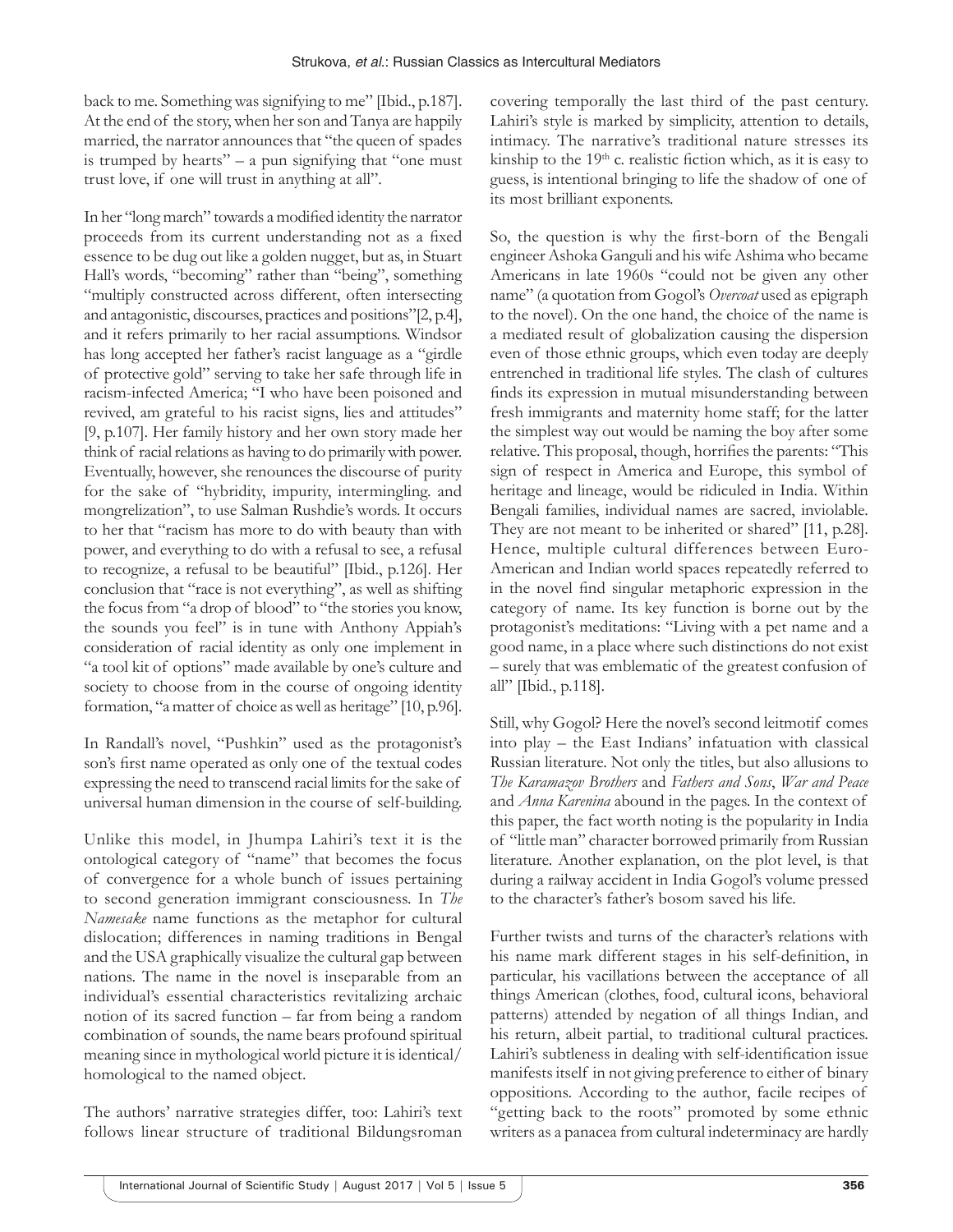back to me. Something was signifying to me" [Ibid., p.187]. At the end of the story, when her son and Tanya are happily married, the narrator announces that "the queen of spades is trumped by hearts" – a pun signifying that "one must trust love, if one will trust in anything at all".

In her "long march" towards a modified identity the narrator proceeds from its current understanding not as a fixed essence to be dug out like a golden nugget, but as, in Stuart Hall's words, "becoming" rather than "being", something "multiply constructed across different, often intersecting and antagonistic, discourses, practices and positions"[2, p.4], and it refers primarily to her racial assumptions. Windsor has long accepted her father's racist language as a "girdle of protective gold" serving to take her safe through life in racism-infected America; "I who have been poisoned and revived, am grateful to his racist signs, lies and attitudes" [9, p.107]. Her family history and her own story made her think of racial relations as having to do primarily with power. Eventually, however, she renounces the discourse of purity for the sake of "hybridity, impurity, intermingling. and mongrelization", to use Salman Rushdie's words. It occurs to her that "racism has more to do with beauty than with power, and everything to do with a refusal to see, a refusal to recognize, a refusal to be beautiful" [Ibid., p.126]. Her conclusion that "race is not everything", as well as shifting the focus from "a drop of blood" to "the stories you know, the sounds you feel" is in tune with Anthony Appiah's consideration of racial identity as only one implement in "a tool kit of options" made available by one's culture and society to choose from in the course of ongoing identity formation, "a matter of choice as well as heritage" [10, p.96].

In Randall's novel, "Pushkin" used as the protagonist's son's first name operated as only one of the textual codes expressing the need to transcend racial limits for the sake of universal human dimension in the course of self-building.

Unlike this model, in Jhumpa Lahiri's text it is the ontological category of "name" that becomes the focus of convergence for a whole bunch of issues pertaining to second generation immigrant consciousness. In *The Namesake* name functions as the metaphor for cultural dislocation; differences in naming traditions in Bengal and the USA graphically visualize the cultural gap between nations. The name in the novel is inseparable from an individual's essential characteristics revitalizing archaic notion of its sacred function – far from being a random combination of sounds, the name bears profound spiritual meaning since in mythological world picture it is identical/ homological to the named object.

The authors' narrative strategies differ, too: Lahiri's text follows linear structure of traditional Bildungsroman covering temporally the last third of the past century. Lahiri's style is marked by simplicity, attention to details, intimacy. The narrative's traditional nature stresses its kinship to the  $19<sup>th</sup>$  c. realistic fiction which, as it is easy to guess, is intentional bringing to life the shadow of one of its most brilliant exponents.

So, the question is why the first-born of the Bengali engineer Ashoka Ganguli and his wife Ashima who became Americans in late 1960s "could not be given any other name" (a quotation from Gogol's *Overcoat* used as epigraph to the novel). On the one hand, the choice of the name is a mediated result of globalization causing the dispersion even of those ethnic groups, which even today are deeply entrenched in traditional life styles. The clash of cultures finds its expression in mutual misunderstanding between fresh immigrants and maternity home staff; for the latter the simplest way out would be naming the boy after some relative. This proposal, though, horrifies the parents: "This sign of respect in America and Europe, this symbol of heritage and lineage, would be ridiculed in India. Within Bengali families, individual names are sacred, inviolable. They are not meant to be inherited or shared" [11, p.28]. Hence, multiple cultural differences between Euro-American and Indian world spaces repeatedly referred to in the novel find singular metaphoric expression in the category of name. Its key function is borne out by the protagonist's meditations: "Living with a pet name and a good name, in a place where such distinctions do not exist – surely that was emblematic of the greatest confusion of all" [Ibid., p.118].

Still, why Gogol? Here the novel's second leitmotif comes into play – the East Indians' infatuation with classical Russian literature. Not only the titles, but also allusions to *The Karamazov Brothers* and *Fathers and Sons*, *War and Peace* and *Anna Karenina* abound in the pages. In the context of this paper, the fact worth noting is the popularity in India of "little man" character borrowed primarily from Russian literature. Another explanation, on the plot level, is that during a railway accident in India Gogol's volume pressed to the character's father's bosom saved his life.

Further twists and turns of the character's relations with his name mark different stages in his self-definition, in particular, his vacillations between the acceptance of all things American (clothes, food, cultural icons, behavioral patterns) attended by negation of all things Indian, and his return, albeit partial, to traditional cultural practices. Lahiri's subtleness in dealing with self-identification issue manifests itself in not giving preference to either of binary oppositions. According to the author, facile recipes of "getting back to the roots" promoted by some ethnic writers as a panacea from cultural indeterminacy are hardly